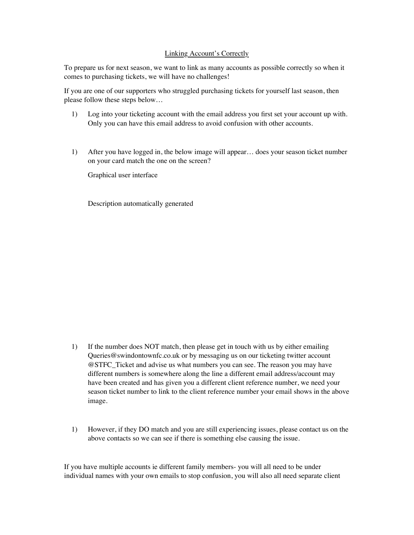## Linking Account's Correctly

To prepare us for next season, we want to link as many accounts as possible correctly so when it comes to purchasing tickets, we will have no challenges!

If you are one of our supporters who struggled purchasing tickets for yourself last season, then please follow these steps below…

- 1) Log into your ticketing account with the email address you first set your account up with. Only you can have this email address to avoid confusion with other accounts.
- 1) After you have logged in, the below image will appear… does your season ticket number on your card match the one on the screen?

Graphical user interface

Description automatically generated

- 1) If the number does NOT match, then please get in touch with us by either emailing Queries@swindontownfc.co.uk or by messaging us on our ticketing twitter account @STFC\_Ticket and advise us what numbers you can see. The reason you may have different numbers is somewhere along the line a different email address/account may have been created and has given you a different client reference number, we need your season ticket number to link to the client reference number your email shows in the above image.
- 1) However, if they DO match and you are still experiencing issues, please contact us on the above contacts so we can see if there is something else causing the issue.

If you have multiple accounts ie different family members- you will all need to be under individual names with your own emails to stop confusion, you will also all need separate client